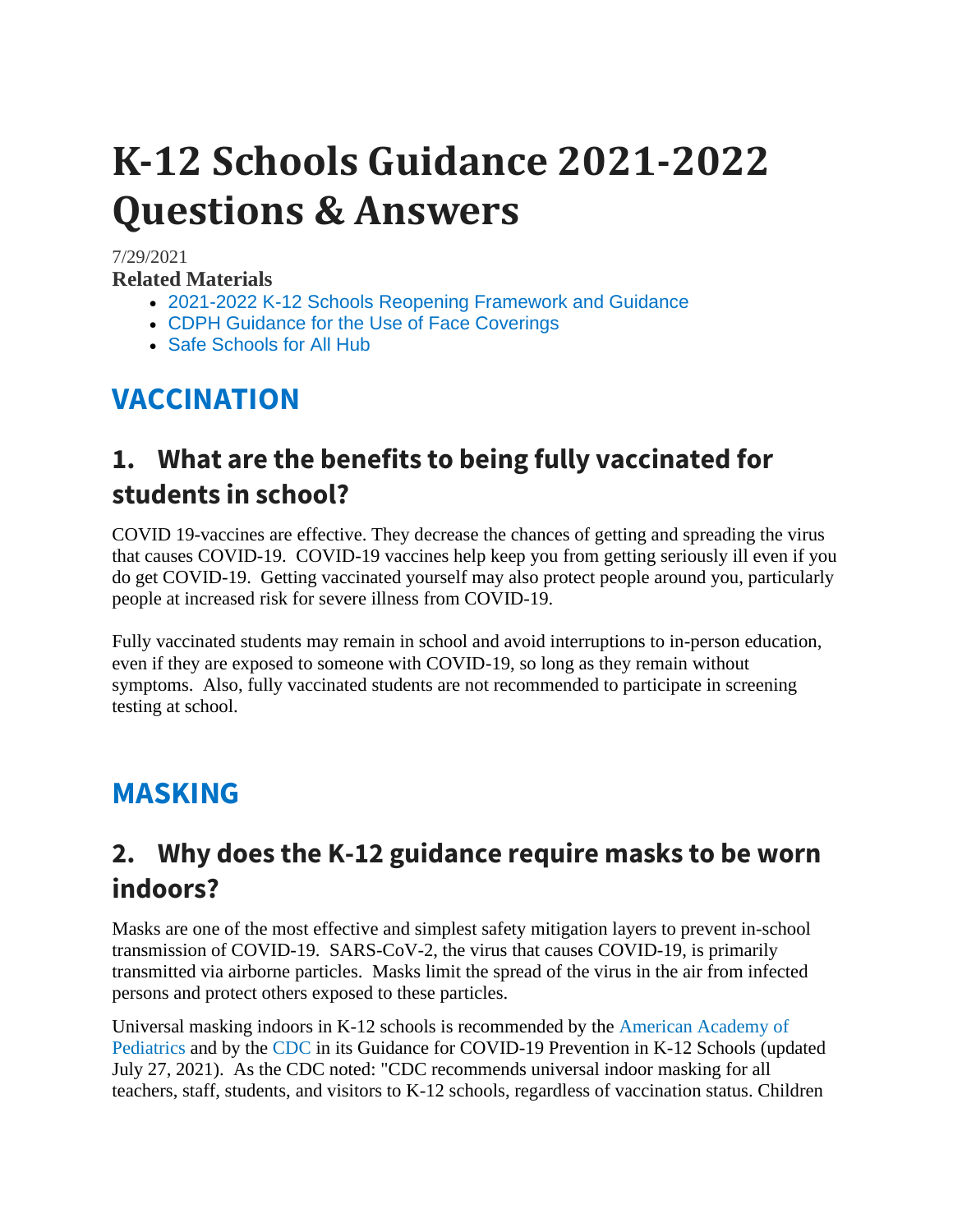# **K-12 Schools Guidance 2021-2022 Questions & Answers**

#### 7/29/2021

**Related Materials**

- [2021-2022 K-12 Schools Reopening Framework and Guidance](https://www.cdph.ca.gov/Programs/CID/DCDC/Pages/COVID-19/K-12-Guidance-2021-22-School-Year.aspx)
- [CDPH Guidance for the Use of Face Coverings](https://www.cdph.ca.gov/Programs/CID/DCDC/Pages/COVID-19/guidance-for-face-coverings.aspx)
- [Safe Schools for All Hub](https://schools.covid19.ca.gov/)

# **VACCINATION**

#### **1. What are the benefits to being fully vaccinated for students in school?**

COVID 19-vaccines are effective. They decrease the chances of getting and spreading the virus that causes COVID-19. COVID-19 vaccines help keep you from getting seriously ill even if you do get COVID-19. Getting vaccinated yourself may also protect people around you, particularly people at increased risk for severe illness from COVID-19.

Fully vaccinated students may remain in school and avoid interruptions to in-person education, even if they are exposed to someone with COVID-19, so long as they remain without symptoms. Also, fully vaccinated students are not recommended to participate in screening testing at school.

### **MASKING**

#### **2. Why does the K-12 guidance require masks to be worn indoors?**

Masks are one of the most effective and simplest safety mitigation layers to prevent in-school transmission of COVID-19. SARS-CoV-2, the virus that causes COVID-19, is primarily transmitted via airborne particles. Masks limit the spread of the virus in the air from infected persons and protect others exposed to these particles.

Universal masking indoors in K-12 schools is recommended by the [American Academy of](https://services.aap.org/en/pages/2019-novel-coronavirus-covid-19-infections/clinical-guidance/covid-19-planning-considerations-return-to-in-person-education-in-schools/)  [Pediatrics](https://services.aap.org/en/pages/2019-novel-coronavirus-covid-19-infections/clinical-guidance/covid-19-planning-considerations-return-to-in-person-education-in-schools/) and by the [CDC](https://www.cdc.gov/coronavirus/2019-ncov/community/schools-childcare/k-12-guidance.html) in its Guidance for COVID-19 Prevention in K-12 Schools (updated July 27, 2021). As the CDC noted: "CDC recommends universal indoor masking for all teachers, staff, students, and visitors to K-12 schools, regardless of vaccination status. Children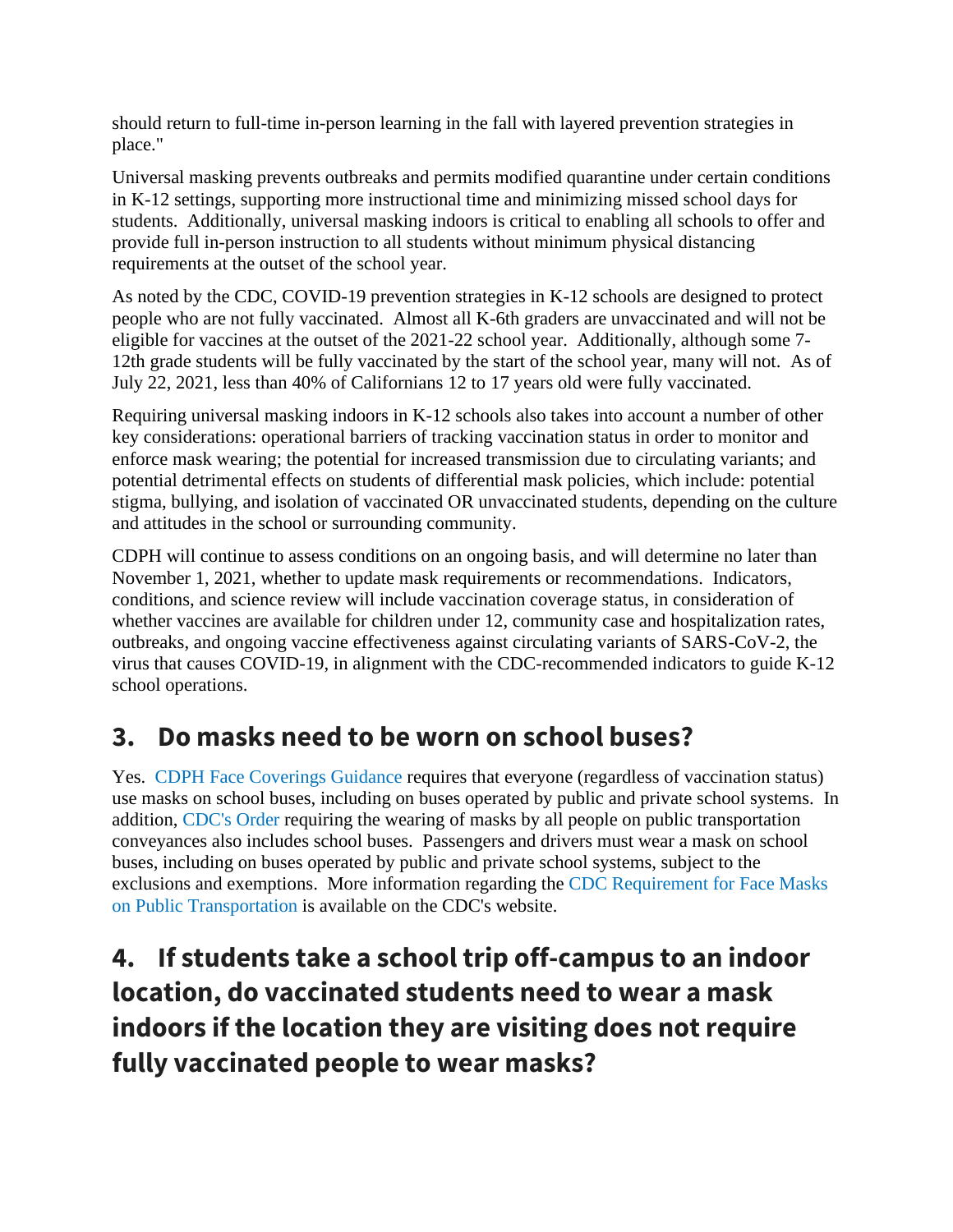should return to full-time in-person learning in the fall with layered prevention strategies in place."

Universal masking prevents outbreaks and permits modified quarantine under certain conditions in K-12 settings, supporting more instructional time and minimizing missed school days for students. Additionally, universal masking indoors is critical to enabling all schools to offer and provide full in-person instruction to all students without minimum physical distancing requirements at the outset of the school year.

As noted by the CDC, COVID-19 prevention strategies in K-12 schools are designed to protect people who are not fully vaccinated. Almost all K-6th graders are unvaccinated and will not be eligible for vaccines at the outset of the 2021-22 school year. Additionally, although some 7- 12th grade students will be fully vaccinated by the start of the school year, many will not. As of July 22, 2021, less than 40% of Californians 12 to 17 years old were fully vaccinated.

Requiring universal masking indoors in K-12 schools also takes into account a number of other key considerations: operational barriers of tracking vaccination status in order to monitor and enforce mask wearing; the potential for increased transmission due to circulating variants; and potential detrimental effects on students of differential mask policies, which include: potential stigma, bullying, and isolation of vaccinated OR unvaccinated students, depending on the culture and attitudes in the school or surrounding community.

CDPH will continue to assess conditions on an ongoing basis, and will determine no later than November 1, 2021, whether to update mask requirements or recommendations. Indicators, conditions, and science review will include vaccination coverage status, in consideration of whether vaccines are available for children under 12, community case and hospitalization rates, outbreaks, and ongoing vaccine effectiveness against circulating variants of SARS-CoV-2, the virus that causes COVID-19, in alignment with the CDC-recommended indicators to guide K-12 school operations.

#### **3. Do masks need to be worn on school buses?**

Yes. [CDPH Face Coverings Guidance](https://www.cdph.ca.gov/Programs/CID/DCDC/Pages/COVID-19/guidance-for-face-coverings.aspx) requires that everyone (regardless of vaccination status) use masks on school buses, including on buses operated by public and private school systems. In addition, [CDC's Order](https://www.cdc.gov/quarantine/masks/mask-travel-guidance.html) requiring the wearing of masks by all people on public transportation conveyances also includes school buses. Passengers and drivers must wear a mask on school buses, including on buses operated by public and private school systems, subject to the exclusions and exemptions. More information regarding the [CDC Requirement for Face Masks](https://www.cdc.gov/coronavirus/2019-ncov/travelers/face-masks-public-transportation.html)  [on Public Transportation](https://www.cdc.gov/coronavirus/2019-ncov/travelers/face-masks-public-transportation.html) is available on the CDC's website.

**4. If students take a school trip off-campus to an indoor location, do vaccinated students need to wear a mask indoors if the location they are visiting does not require fully vaccinated people to wear masks?**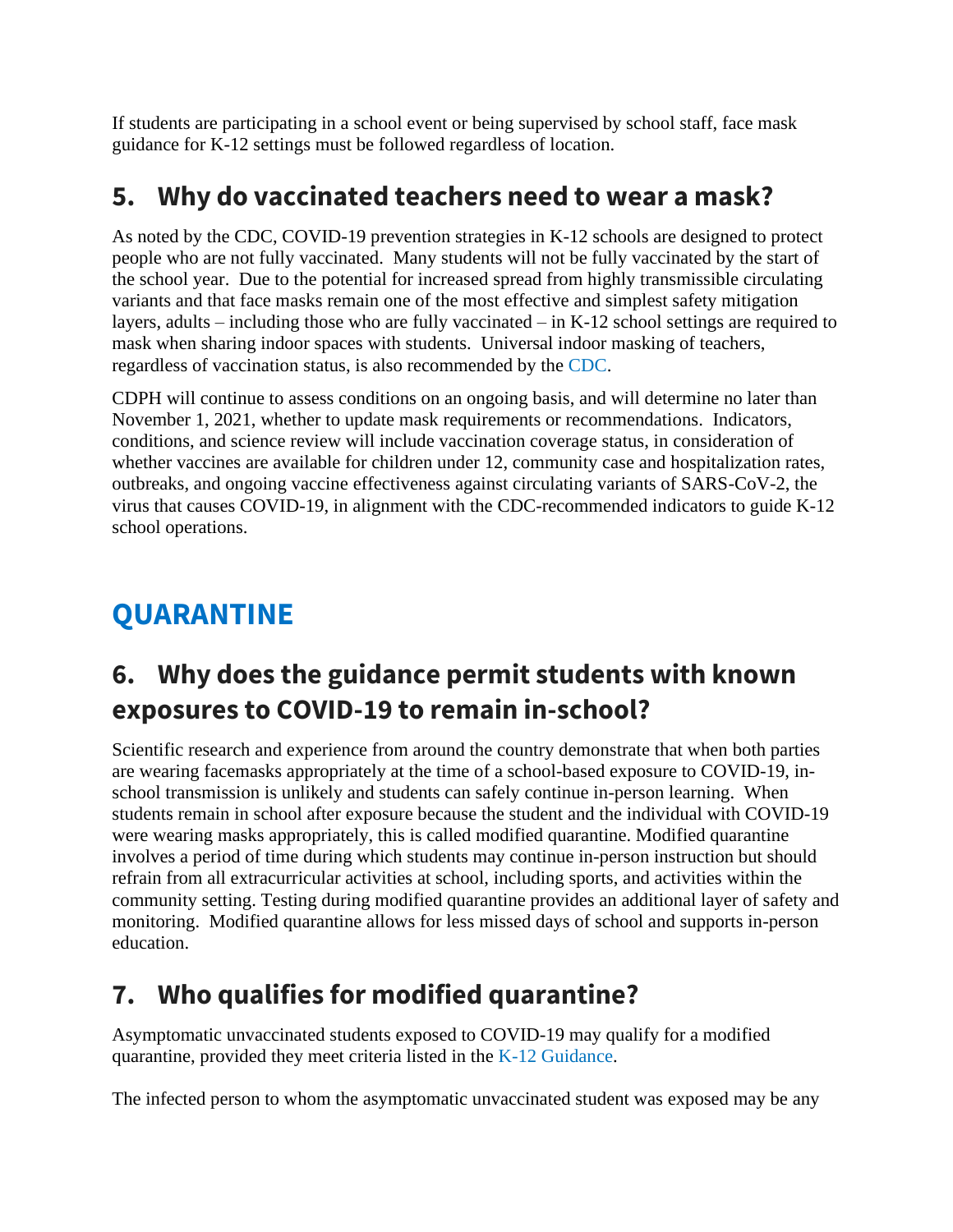If students are participating in a school event or being supervised by school staff, face mask guidance for K-12 settings must be followed regardless of location.

#### **5. Why do vaccinated teachers need to wear a mask?**

As noted by the CDC, COVID-19 prevention strategies in K-12 schools are designed to protect people who are not fully vaccinated. Many students will not be fully vaccinated by the start of the school year. Due to the potential for increased spread from highly transmissible circulating variants and that face masks remain one of the most effective and simplest safety mitigation layers, adults – including those who are fully vaccinated – in K-12 school settings are required to mask when sharing indoor spaces with students. Universal indoor masking of teachers, regardless of vaccination status, is also recommended by the [CDC.](https://www.cdc.gov/coronavirus/2019-ncov/community/schools-childcare/k-12-guidance.html)

CDPH will continue to assess conditions on an ongoing basis, and will determine no later than November 1, 2021, whether to update mask requirements or recommendations. Indicators, conditions, and science review will include vaccination coverage status, in consideration of whether vaccines are available for children under 12, community case and hospitalization rates, outbreaks, and ongoing vaccine effectiveness against circulating variants of SARS-CoV-2, the virus that causes COVID-19, in alignment with the CDC-recommended indicators to guide K-12 school operations.

# **QUARANTINE**

#### **6. Why does the guidance permit students with known exposures to COVID-19 to remain in-school?**

Scientific research and experience from around the country demonstrate that when both parties are wearing facemasks appropriately at the time of a school-based exposure to COVID-19, inschool transmission is unlikely and students can safely continue in-person learning. When students remain in school after exposure because the student and the individual with COVID-19 were wearing masks appropriately, this is called modified quarantine. Modified quarantine involves a period of time during which students may continue in-person instruction but should refrain from all extracurricular activities at school, including sports, and activities within the community setting. Testing during modified quarantine provides an additional layer of safety and monitoring. Modified quarantine allows for less missed days of school and supports in-person education.

### **7. Who qualifies for modified quarantine?**

Asymptomatic unvaccinated students exposed to COVID-19 may qualify for a modified quarantine, provided they meet criteria listed in the [K-12 Guidance.](https://www.cdph.ca.gov/Programs/CID/DCDC/Pages/COVID-19/K-12-Guidance-2021-22-School-Year.aspx)

The infected person to whom the asymptomatic unvaccinated student was exposed may be any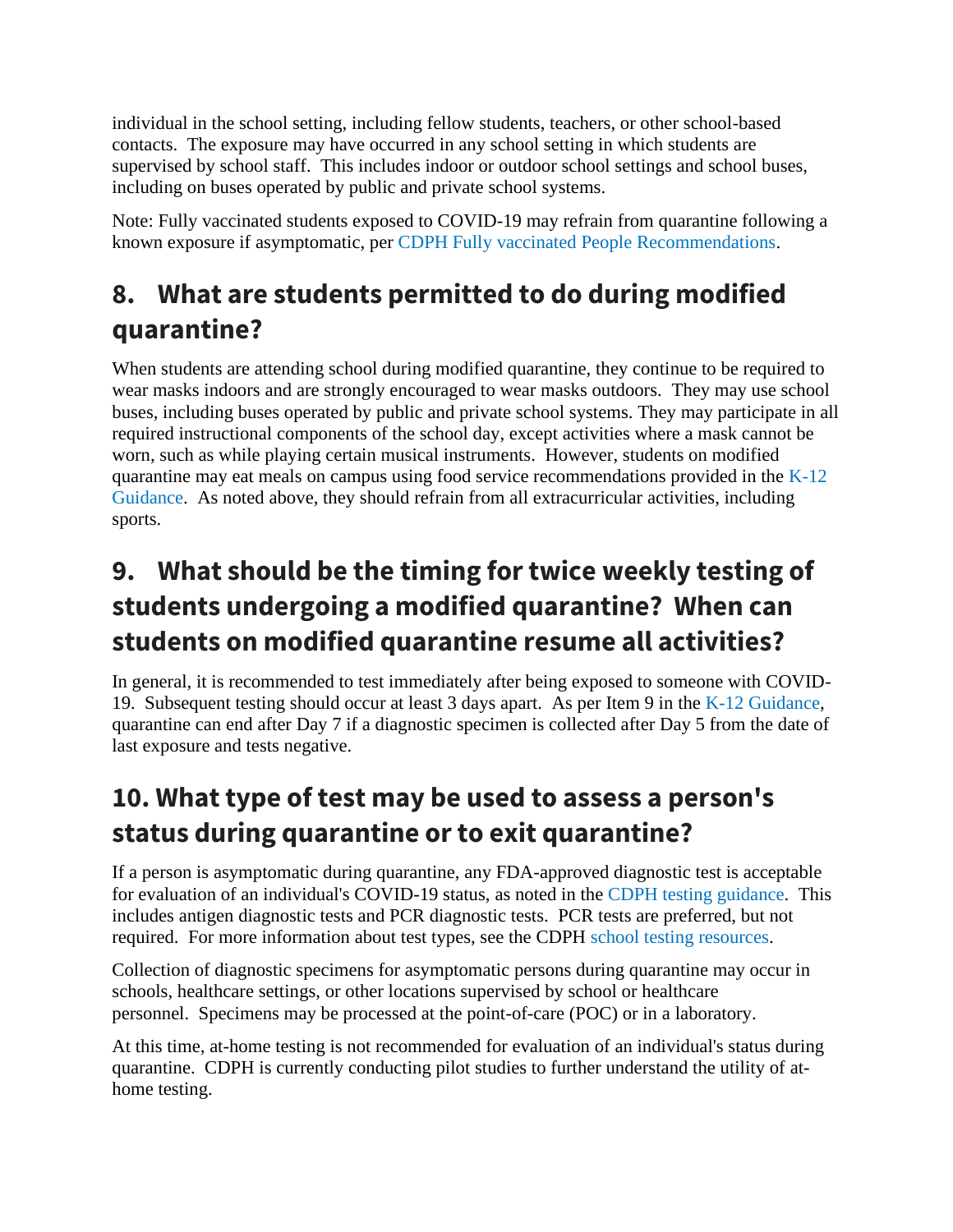individual in the school setting, including fellow students, teachers, or other school-based contacts. The exposure may have occurred in any school setting in which students are supervised by school staff. This includes indoor or outdoor school settings and school buses, including on buses operated by public and private school systems.

Note: Fully vaccinated students exposed to COVID-19 may refrain from quarantine following a known exposure if asymptomatic, per [CDPH Fully vaccinated People Recommendations.](https://www.cdph.ca.gov/Programs/CID/DCDC/Pages/COVID-19/COVID-19-Public-Health-Recommendations-for-Fully-Vaccinated-People.aspx)

# **8. What are students permitted to do during modified quarantine?**

When students are attending school during modified quarantine, they continue to be required to wear masks indoors and are strongly encouraged to wear masks outdoors. They may use school buses, including buses operated by public and private school systems. They may participate in all required instructional components of the school day, except activities where a mask cannot be worn, such as while playing certain musical instruments. However, students on modified quarantine may eat meals on campus using food service recommendations provided in the  $K-12$ [Guidance.](https://www.cdph.ca.gov/Programs/CID/DCDC/Pages/COVID-19/K-12-Guidance-2021-22-School-Year.aspx) As noted above, they should refrain from all extracurricular activities, including sports.

# **9. What should be the timing for twice weekly testing of students undergoing a modified quarantine? When can students on modified quarantine resume all activities?**

In general, it is recommended to test immediately after being exposed to someone with COVID-19. Subsequent testing should occur at least 3 days apart. As per Item 9 in the [K-12 Guidance,](https://www.cdph.ca.gov/Programs/CID/DCDC/Pages/COVID-19/K-12-Guidance-2021-22-School-Year.aspx) quarantine can end after Day 7 if a diagnostic specimen is collected after Day 5 from the date of last exposure and tests negative.

# **10. What type of test may be used to assess a person's status during quarantine or to exit quarantine?**

If a person is asymptomatic during quarantine, any FDA-approved diagnostic test is acceptable for evaluation of an individual's COVID-19 status, as noted in the [CDPH testing guidance.](https://www.cdph.ca.gov/Programs/CID/DCDC/Pages/COVID-19/Updated-COVID-19-Testing-Guidance.aspx) This includes antigen diagnostic tests and PCR diagnostic tests. PCR tests are preferred, but not required. For more information about test types, see the CDPH [school testing resources.](https://testing.covid19.ca.gov/school-testing/)

Collection of diagnostic specimens for asymptomatic persons during quarantine may occur in schools, healthcare settings, or other locations supervised by school or healthcare personnel. Specimens may be processed at the point-of-care (POC) or in a laboratory.

At this time, at-home testing is not recommended for evaluation of an individual's status during quarantine. CDPH is currently conducting pilot studies to further understand the utility of athome testing.